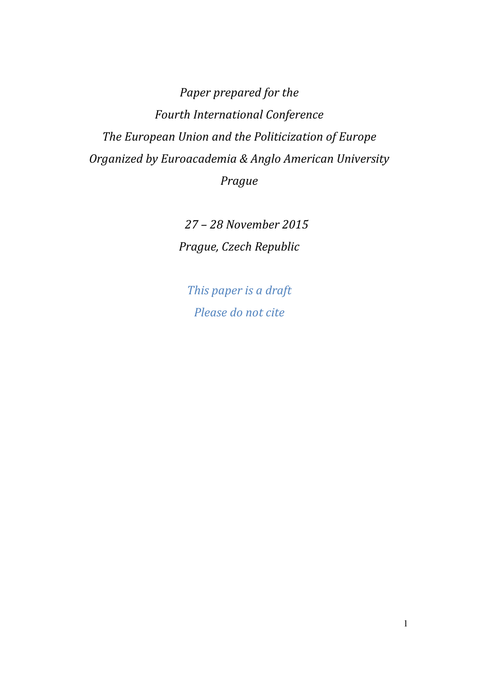*Paper prepared for the Fourth International Conference The European Union and the Politicization of Europe Organized by Euroacademia & Anglo American University Prague* 

> *27 – 28 November 2015 Prague, Czech Republic*

*This paper is a draft Please do not cite*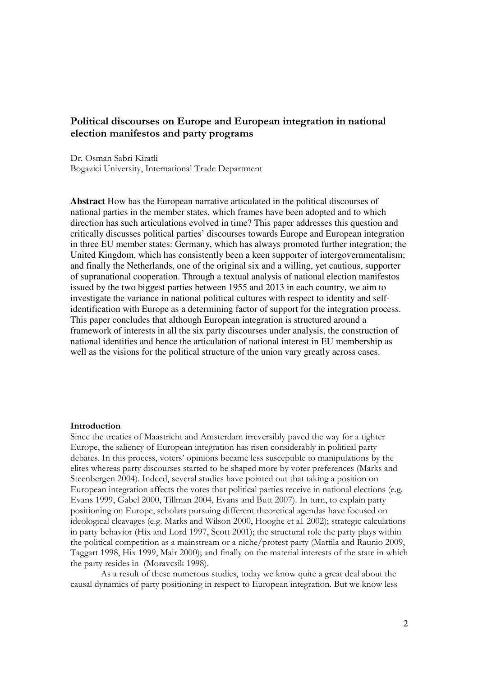# **Political discourses on Europe and European integration in national election manifestos and party programs**

Dr. Osman Sabri Kiratli Bogazici University, International Trade Department

**Abstract** How has the European narrative articulated in the political discourses of national parties in the member states, which frames have been adopted and to which direction has such articulations evolved in time? This paper addresses this question and critically discusses political parties' discourses towards Europe and European integration in three EU member states: Germany, which has always promoted further integration; the United Kingdom, which has consistently been a keen supporter of intergovernmentalism; and finally the Netherlands, one of the original six and a willing, yet cautious, supporter of supranational cooperation. Through a textual analysis of national election manifestos issued by the two biggest parties between 1955 and 2013 in each country, we aim to investigate the variance in national political cultures with respect to identity and selfidentification with Europe as a determining factor of support for the integration process. This paper concludes that although European integration is structured around a framework of interests in all the six party discourses under analysis, the construction of national identities and hence the articulation of national interest in EU membership as well as the visions for the political structure of the union vary greatly across cases.

### **Introduction**

Since the treaties of Maastricht and Amsterdam irreversibly paved the way for a tighter Europe, the saliency of European integration has risen considerably in political party debates. In this process, voters' opinions became less susceptible to manipulations by the elites whereas party discourses started to be shaped more by voter preferences (Marks and Steenbergen 2004). Indeed, several studies have pointed out that taking a position on European integration affects the votes that political parties receive in national elections (e.g. Evans 1999, Gabel 2000, Tillman 2004, Evans and Butt 2007). In turn, to explain party positioning on Europe, scholars pursuing different theoretical agendas have focused on ideological cleavages (e.g. Marks and Wilson 2000, Hooghe et al*.* 2002); strategic calculations in party behavior (Hix and Lord 1997, Scott 2001); the structural role the party plays within the political competition as a mainstream or a niche/protest party (Mattila and Raunio 2009, Taggart 1998, Hix 1999, Mair 2000); and finally on the material interests of the state in which the party resides in (Moravcsik 1998).

 As a result of these numerous studies, today we know quite a great deal about the causal dynamics of party positioning in respect to European integration. But we know less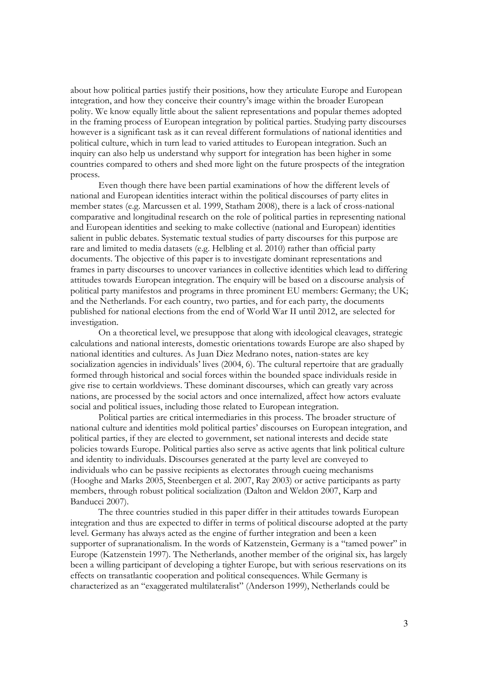about how political parties justify their positions, how they articulate Europe and European integration, and how they conceive their country's image within the broader European polity. We know equally little about the salient representations and popular themes adopted in the framing process of European integration by political parties. Studying party discourses however is a significant task as it can reveal different formulations of national identities and political culture, which in turn lead to varied attitudes to European integration. Such an inquiry can also help us understand why support for integration has been higher in some countries compared to others and shed more light on the future prospects of the integration process.

Even though there have been partial examinations of how the different levels of national and European identities interact within the political discourses of party elites in member states (e.g. Marcussen et al. 1999, Statham 2008), there is a lack of cross-national comparative and longitudinal research on the role of political parties in representing national and European identities and seeking to make collective (national and European) identities salient in public debates. Systematic textual studies of party discourses for this purpose are rare and limited to media datasets (e.g. Helbling et al. 2010) rather than official party documents. The objective of this paper is to investigate dominant representations and frames in party discourses to uncover variances in collective identities which lead to differing attitudes towards European integration. The enquiry will be based on a discourse analysis of political party manifestos and programs in three prominent EU members: Germany; the UK; and the Netherlands. For each country, two parties, and for each party, the documents published for national elections from the end of World War II until 2012, are selected for investigation.

On a theoretical level, we presuppose that along with ideological cleavages, strategic calculations and national interests, domestic orientations towards Europe are also shaped by national identities and cultures. As Juan Diez Medrano notes, nation-states are key socialization agencies in individuals' lives (2004, 6). The cultural repertoire that are gradually formed through historical and social forces within the bounded space individuals reside in give rise to certain worldviews. These dominant discourses, which can greatly vary across nations, are processed by the social actors and once internalized, affect how actors evaluate social and political issues, including those related to European integration.

Political parties are critical intermediaries in this process. The broader structure of national culture and identities mold political parties' discourses on European integration, and political parties, if they are elected to government, set national interests and decide state policies towards Europe. Political parties also serve as active agents that link political culture and identity to individuals. Discourses generated at the party level are conveyed to individuals who can be passive recipients as electorates through cueing mechanisms (Hooghe and Marks 2005, Steenbergen et al. 2007, Ray 2003) or active participants as party members, through robust political socialization (Dalton and Weldon 2007, Karp and Banducci 2007).

The three countries studied in this paper differ in their attitudes towards European integration and thus are expected to differ in terms of political discourse adopted at the party level. Germany has always acted as the engine of further integration and been a keen supporter of supranationalism. In the words of Katzenstein, Germany is a "tamed power" in Europe (Katzenstein 1997). The Netherlands, another member of the original six, has largely been a willing participant of developing a tighter Europe, but with serious reservations on its effects on transatlantic cooperation and political consequences. While Germany is characterized as an "exaggerated multilateralist" (Anderson 1999), Netherlands could be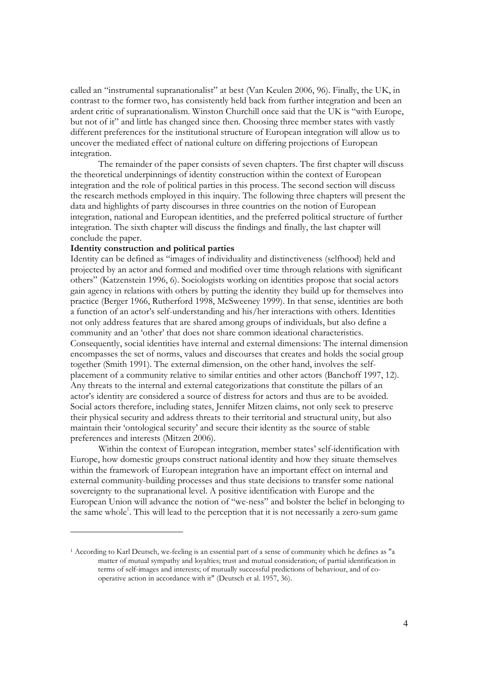called an "instrumental supranationalist" at best (Van Keulen 2006, 96). Finally, the UK, in contrast to the former two, has consistently held back from further integration and been an ardent critic of supranationalism. Winston Churchill once said that the UK is "with Europe, but not of it" and little has changed since then. Choosing three member states with vastly different preferences for the institutional structure of European integration will allow us to uncover the mediated effect of national culture on differing projections of European integration.

The remainder of the paper consists of seven chapters. The first chapter will discuss the theoretical underpinnings of identity construction within the context of European integration and the role of political parties in this process. The second section will discuss the research methods employed in this inquiry. The following three chapters will present the data and highlights of party discourses in three countries on the notion of European integration, national and European identities, and the preferred political structure of further integration. The sixth chapter will discuss the findings and finally, the last chapter will conclude the paper.

## **Identity construction and political parties**

-

Identity can be defined as "images of individuality and distinctiveness (selfhood) held and projected by an actor and formed and modified over time through relations with significant others" (Katzenstein 1996, 6). Sociologists working on identities propose that social actors gain agency in relations with others by putting the identity they build up for themselves into practice (Berger 1966, Rutherford 1998, McSweeney 1999). In that sense, identities are both a function of an actor's self-understanding and his/her interactions with others. Identities not only address features that are shared among groups of individuals, but also define a community and an 'other' that does not share common ideational characteristics. Consequently, social identities have internal and external dimensions: The internal dimension encompasses the set of norms, values and discourses that creates and holds the social group together (Smith 1991). The external dimension, on the other hand, involves the selfplacement of a community relative to similar entities and other actors (Banchoff 1997, 12). Any threats to the internal and external categorizations that constitute the pillars of an actor's identity are considered a source of distress for actors and thus are to be avoided. Social actors therefore, including states, Jennifer Mitzen claims, not only seek to preserve their physical security and address threats to their territorial and structural unity, but also maintain their 'ontological security' and secure their identity as the source of stable preferences and interests (Mitzen 2006).

Within the context of European integration, member states' self-identification with Europe, how domestic groups construct national identity and how they situate themselves within the framework of European integration have an important effect on internal and external community-building processes and thus state decisions to transfer some national sovereignty to the supranational level. A positive identification with Europe and the European Union will advance the notion of "we-ness" and bolster the belief in belonging to the same whole<sup>1</sup>. This will lead to the perception that it is not necessarily a zero-sum game

<sup>1</sup> According to Karl Deutsch, we-feeling is an essential part of a sense of community which he defines as "a matter of mutual sympathy and loyalties; trust and mutual consideration; of partial identification in terms of self-images and interests; of mutually successful predictions of behaviour, and of cooperative action in accordance with it" (Deutsch et al. 1957, 36).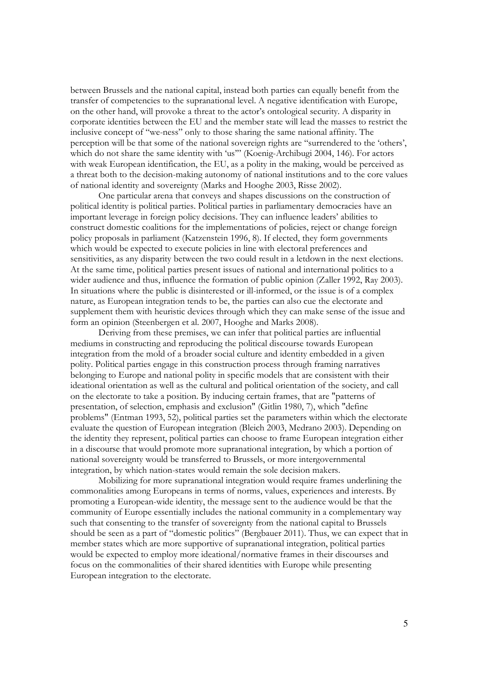between Brussels and the national capital, instead both parties can equally benefit from the transfer of competencies to the supranational level. A negative identification with Europe, on the other hand, will provoke a threat to the actor's ontological security. A disparity in corporate identities between the EU and the member state will lead the masses to restrict the inclusive concept of "we-ness" only to those sharing the same national affinity. The perception will be that some of the national sovereign rights are "surrendered to the 'others', which do not share the same identity with 'us'" (Koenig-Archibugi 2004, 146). For actors with weak European identification, the EU, as a polity in the making, would be perceived as a threat both to the decision-making autonomy of national institutions and to the core values of national identity and sovereignty (Marks and Hooghe 2003, Risse 2002).

One particular arena that conveys and shapes discussions on the construction of political identity is political parties. Political parties in parliamentary democracies have an important leverage in foreign policy decisions. They can influence leaders' abilities to construct domestic coalitions for the implementations of policies, reject or change foreign policy proposals in parliament (Katzenstein 1996, 8). If elected, they form governments which would be expected to execute policies in line with electoral preferences and sensitivities, as any disparity between the two could result in a letdown in the next elections. At the same time, political parties present issues of national and international politics to a wider audience and thus, influence the formation of public opinion (Zaller 1992, Ray 2003). In situations where the public is disinterested or ill-informed, or the issue is of a complex nature, as European integration tends to be, the parties can also cue the electorate and supplement them with heuristic devices through which they can make sense of the issue and form an opinion (Steenbergen et al. 2007, Hooghe and Marks 2008).

Deriving from these premises, we can infer that political parties are influential mediums in constructing and reproducing the political discourse towards European integration from the mold of a broader social culture and identity embedded in a given polity. Political parties engage in this construction process through framing narratives belonging to Europe and national polity in specific models that are consistent with their ideational orientation as well as the cultural and political orientation of the society, and call on the electorate to take a position. By inducing certain frames, that are "patterns of presentation, of selection, emphasis and exclusion" (Gitlin 1980, 7), which "define problems" (Entman 1993, 52), political parties set the parameters within which the electorate evaluate the question of European integration (Bleich 2003, Medrano 2003). Depending on the identity they represent, political parties can choose to frame European integration either in a discourse that would promote more supranational integration, by which a portion of national sovereignty would be transferred to Brussels, or more intergovernmental integration, by which nation-states would remain the sole decision makers.

Mobilizing for more supranational integration would require frames underlining the commonalities among Europeans in terms of norms, values, experiences and interests. By promoting a European-wide identity, the message sent to the audience would be that the community of Europe essentially includes the national community in a complementary way such that consenting to the transfer of sovereignty from the national capital to Brussels should be seen as a part of "domestic politics" (Bergbauer 2011). Thus, we can expect that in member states which are more supportive of supranational integration, political parties would be expected to employ more ideational/normative frames in their discourses and focus on the commonalities of their shared identities with Europe while presenting European integration to the electorate.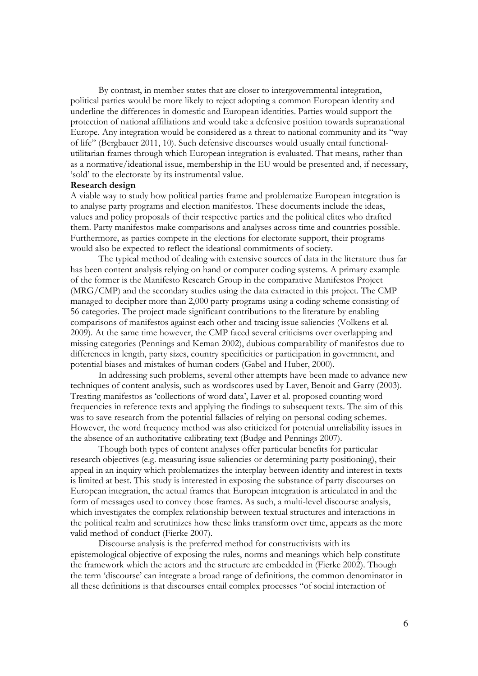By contrast, in member states that are closer to intergovernmental integration, political parties would be more likely to reject adopting a common European identity and underline the differences in domestic and European identities. Parties would support the protection of national affiliations and would take a defensive position towards supranational Europe. Any integration would be considered as a threat to national community and its "way of life" (Bergbauer 2011, 10). Such defensive discourses would usually entail functionalutilitarian frames through which European integration is evaluated. That means, rather than as a normative/ideational issue, membership in the EU would be presented and, if necessary, 'sold' to the electorate by its instrumental value.

### **Research design**

A viable way to study how political parties frame and problematize European integration is to analyse party programs and election manifestos. These documents include the ideas, values and policy proposals of their respective parties and the political elites who drafted them. Party manifestos make comparisons and analyses across time and countries possible. Furthermore, as parties compete in the elections for electorate support, their programs would also be expected to reflect the ideational commitments of society.

The typical method of dealing with extensive sources of data in the literature thus far has been content analysis relying on hand or computer coding systems. A primary example of the former is the Manifesto Research Group in the comparative Manifestos Project (MRG/CMP) and the secondary studies using the data extracted in this project. The CMP managed to decipher more than 2,000 party programs using a coding scheme consisting of 56 categories. The project made significant contributions to the literature by enabling comparisons of manifestos against each other and tracing issue saliencies (Volkens et al. 2009). At the same time however, the CMP faced several criticisms over overlapping and missing categories (Pennings and Keman 2002), dubious comparability of manifestos due to differences in length, party sizes, country specificities or participation in government, and potential biases and mistakes of human coders (Gabel and Huber, 2000).

In addressing such problems, several other attempts have been made to advance new techniques of content analysis, such as wordscores used by Laver, Benoit and Garry (2003). Treating manifestos as 'collections of word data', Laver et al. proposed counting word frequencies in reference texts and applying the findings to subsequent texts. The aim of this was to save research from the potential fallacies of relying on personal coding schemes. However, the word frequency method was also criticized for potential unreliability issues in the absence of an authoritative calibrating text (Budge and Pennings 2007).

Though both types of content analyses offer particular benefits for particular research objectives (e.g. measuring issue saliencies or determining party positioning), their appeal in an inquiry which problematizes the interplay between identity and interest in texts is limited at best. This study is interested in exposing the substance of party discourses on European integration, the actual frames that European integration is articulated in and the form of messages used to convey those frames. As such, a multi-level discourse analysis, which investigates the complex relationship between textual structures and interactions in the political realm and scrutinizes how these links transform over time, appears as the more valid method of conduct (Fierke 2007).

Discourse analysis is the preferred method for constructivists with its epistemological objective of exposing the rules, norms and meanings which help constitute the framework which the actors and the structure are embedded in (Fierke 2002). Though the term 'discourse' can integrate a broad range of definitions, the common denominator in all these definitions is that discourses entail complex processes "of social interaction of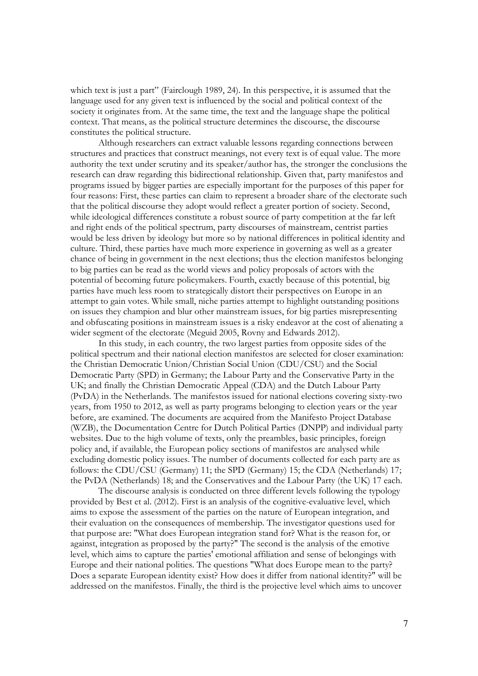which text is just a part" (Fairclough 1989, 24). In this perspective, it is assumed that the language used for any given text is influenced by the social and political context of the society it originates from. At the same time, the text and the language shape the political context. That means, as the political structure determines the discourse, the discourse constitutes the political structure.

Although researchers can extract valuable lessons regarding connections between structures and practices that construct meanings, not every text is of equal value. The more authority the text under scrutiny and its speaker/author has, the stronger the conclusions the research can draw regarding this bidirectional relationship. Given that, party manifestos and programs issued by bigger parties are especially important for the purposes of this paper for four reasons: First, these parties can claim to represent a broader share of the electorate such that the political discourse they adopt would reflect a greater portion of society. Second, while ideological differences constitute a robust source of party competition at the far left and right ends of the political spectrum, party discourses of mainstream, centrist parties would be less driven by ideology but more so by national differences in political identity and culture. Third, these parties have much more experience in governing as well as a greater chance of being in government in the next elections; thus the election manifestos belonging to big parties can be read as the world views and policy proposals of actors with the potential of becoming future policymakers. Fourth, exactly because of this potential, big parties have much less room to strategically distort their perspectives on Europe in an attempt to gain votes. While small, niche parties attempt to highlight outstanding positions on issues they champion and blur other mainstream issues, for big parties misrepresenting and obfuscating positions in mainstream issues is a risky endeavor at the cost of alienating a wider segment of the electorate (Meguid 2005, Rovny and Edwards 2012).

In this study, in each country, the two largest parties from opposite sides of the political spectrum and their national election manifestos are selected for closer examination: the Christian Democratic Union/Christian Social Union (CDU/CSU) and the Social Democratic Party (SPD) in Germany; the Labour Party and the Conservative Party in the UK; and finally the Christian Democratic Appeal (CDA) and the Dutch Labour Party (PvDA) in the Netherlands. The manifestos issued for national elections covering sixty-two years, from 1950 to 2012, as well as party programs belonging to election years or the year before, are examined. The documents are acquired from the Manifesto Project Database (WZB), the Documentation Centre for Dutch Political Parties (DNPP) and individual party websites. Due to the high volume of texts, only the preambles, basic principles, foreign policy and, if available, the European policy sections of manifestos are analysed while excluding domestic policy issues. The number of documents collected for each party are as follows: the CDU/CSU (Germany) 11; the SPD (Germany) 15; the CDA (Netherlands) 17; the PvDA (Netherlands) 18; and the Conservatives and the Labour Party (the UK) 17 each.

The discourse analysis is conducted on three different levels following the typology provided by Best et al. (2012). First is an analysis of the cognitive-evaluative level, which aims to expose the assessment of the parties on the nature of European integration, and their evaluation on the consequences of membership. The investigator questions used for that purpose are: "What does European integration stand for? What is the reason for, or against, integration as proposed by the party?" The second is the analysis of the emotive level, which aims to capture the parties' emotional affiliation and sense of belongings with Europe and their national polities. The questions "What does Europe mean to the party? Does a separate European identity exist? How does it differ from national identity?" will be addressed on the manifestos. Finally, the third is the projective level which aims to uncover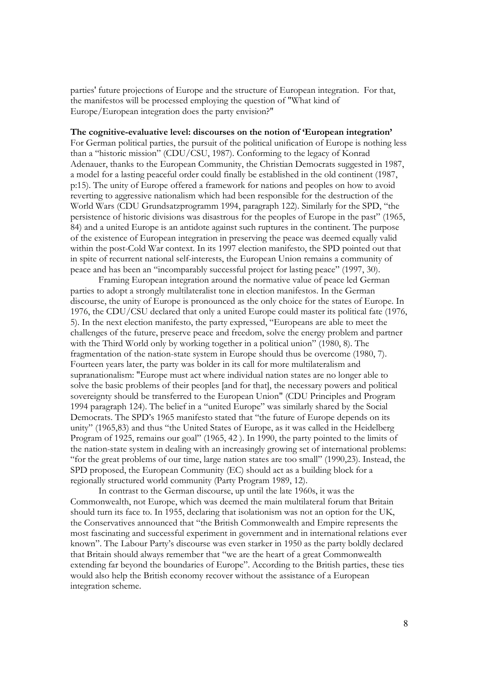parties' future projections of Europe and the structure of European integration. For that, the manifestos will be processed employing the question of "What kind of Europe/European integration does the party envision?"

### **The cognitive-evaluative level: discourses on the notion of 'European integration'**

For German political parties, the pursuit of the political unification of Europe is nothing less than a "historic mission" (CDU/CSU, 1987). Conforming to the legacy of Konrad Adenauer, thanks to the European Community, the Christian Democrats suggested in 1987, a model for a lasting peaceful order could finally be established in the old continent (1987, p:15). The unity of Europe offered a framework for nations and peoples on how to avoid reverting to aggressive nationalism which had been responsible for the destruction of the World Wars (CDU Grundsatzprogramm 1994, paragraph 122). Similarly for the SPD, "the persistence of historic divisions was disastrous for the peoples of Europe in the past" (1965, 84) and a united Europe is an antidote against such ruptures in the continent. The purpose of the existence of European integration in preserving the peace was deemed equally valid within the post-Cold War context. In its 1997 election manifesto, the SPD pointed out that in spite of recurrent national self-interests, the European Union remains a community of peace and has been an "incomparably successful project for lasting peace" (1997, 30).

Framing European integration around the normative value of peace led German parties to adopt a strongly multilateralist tone in election manifestos. In the German discourse, the unity of Europe is pronounced as the only choice for the states of Europe. In 1976, the CDU/CSU declared that only a united Europe could master its political fate (1976, 5). In the next election manifesto, the party expressed, "Europeans are able to meet the challenges of the future, preserve peace and freedom, solve the energy problem and partner with the Third World only by working together in a political union" (1980, 8). The fragmentation of the nation-state system in Europe should thus be overcome (1980, 7). Fourteen years later, the party was bolder in its call for more multilateralism and supranationalism: "Europe must act where individual nation states are no longer able to solve the basic problems of their peoples [and for that], the necessary powers and political sovereignty should be transferred to the European Union" (CDU Principles and Program 1994 paragraph 124). The belief in a "united Europe" was similarly shared by the Social Democrats. The SPD's 1965 manifesto stated that "the future of Europe depends on its unity" (1965,83) and thus "the United States of Europe, as it was called in the Heidelberg Program of 1925, remains our goal" (1965, 42 ). In 1990, the party pointed to the limits of the nation-state system in dealing with an increasingly growing set of international problems: "for the great problems of our time, large nation states are too small" (1990,23). Instead, the SPD proposed, the European Community (EC) should act as a building block for a regionally structured world community (Party Program 1989, 12).

In contrast to the German discourse, up until the late 1960s, it was the Commonwealth, not Europe, which was deemed the main multilateral forum that Britain should turn its face to. In 1955, declaring that isolationism was not an option for the UK, the Conservatives announced that "the British Commonwealth and Empire represents the most fascinating and successful experiment in government and in international relations ever known". The Labour Party's discourse was even starker in 1950 as the party boldly declared that Britain should always remember that "we are the heart of a great Commonwealth extending far beyond the boundaries of Europe". According to the British parties, these ties would also help the British economy recover without the assistance of a European integration scheme.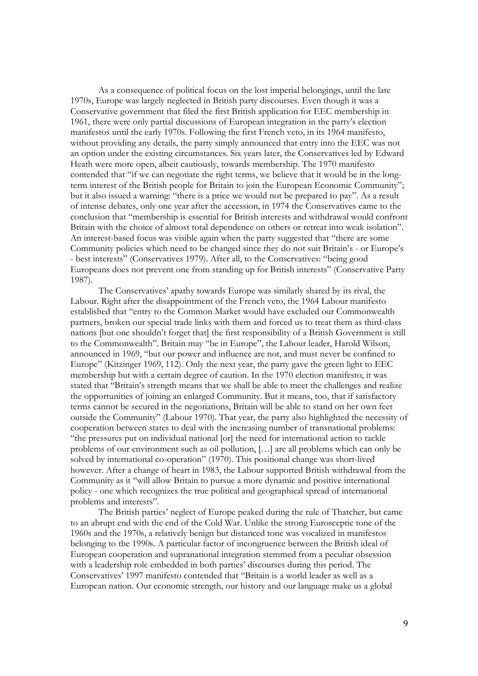As a consequence of political focus on the lost imperial belongings, until the late 1970s, Europe was largely neglected in British party discourses. Even though it was a Conservative government that filed the first British application for EEC membership in 1961, there were only partial discussions of European integration in the party's election manifestos until the early 1970s. Following the first French veto, in its 1964 manifesto, without providing any details, the party simply announced that entry into the EEC was not an option under the existing circumstances. Six years later, the Conservatives led by Edward Heath were more open, albeit cautiously, towards membership. The 1970 manifesto contended that "if we can negotiate the right terms, we believe that it would be in the longterm interest of the British people for Britain to join the European Economic Community"; but it also issued a warning: "there is a price we would not be prepared to pay". As a result of intense debates, only one year after the accession, in 1974 the Conservatives came to the conclusion that "membership is essential for British interests and withdrawal would confront Britain with the choice of almost total dependence on others or retreat into weak isolation". An interest-based focus was visible again when the party suggested that "there are some Community policies which need to be changed since they do not suit Britain's - or Europe's - best interests" (Conservatives 1979). After all, to the Conservatives: "being good Europeans does not prevent one from standing up for British interests" (Conservative Party 1987).

The Conservatives' apathy towards Europe was similarly shared by its rival, the Labour. Right after the disappointment of the French veto, the 1964 Labour manifesto established that "entry to the Common Market would have excluded our Commonwealth partners, broken our special trade links with them and forced us to treat them as third-class nations [but one shouldn't forget that] the first responsibility of a British Government is still to the Commonwealth". Britain may "be in Europe", the Labour leader, Harold Wilson, announced in 1969, "but our power and influence are not, and must never be confined to Europe" (Kitzinger 1969, 112). Only the next year, the party gave the green light to EEC membership but with a certain degree of caution. In the 1970 election manifesto, it was stated that "Britain's strength means that we shall be able to meet the challenges and realize the opportunities of joining an enlarged Community. But it means, too, that if satisfactory terms cannot be secured in the negotiations, Britain will be able to stand on her own feet outside the Community" (Labour 1970). That year, the party also highlighted the necessity of cooperation between states to deal with the increasing number of transnational problems: "the pressures put on individual national [or] the need for international action to tackle problems of our environment such as oil pollution, […] are all problems which can only be solved by international co-operation" (1970). This positional change was short-lived however. After a change of heart in 1983, the Labour supported British withdrawal from the Community as it "will allow Britain to pursue a more dynamic and positive international policy - one which recognizes the true political and geographical spread of international problems and interests".

The British parties' neglect of Europe peaked during the rule of Thatcher, but came to an abrupt end with the end of the Cold War. Unlike the strong Eurosceptic tone of the 1960s and the 1970s, a relatively benign but distanced tone was vocalized in manifestos belonging to the 1990s. A particular factor of incongruence between the British ideal of European cooperation and supranational integration stemmed from a peculiar obsession with a leadership role embedded in both parties' discourses during this period. The Conservatives' 1997 manifesto contended that "Britain is a world leader as well as a European nation. Our economic strength, our history and our language make us a global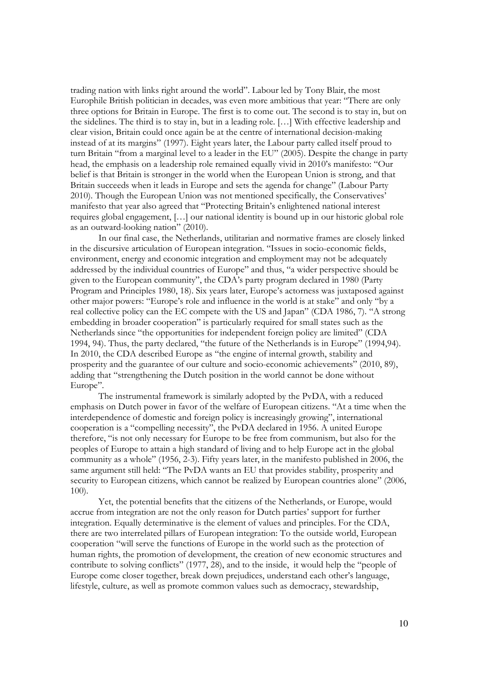trading nation with links right around the world". Labour led by Tony Blair, the most Europhile British politician in decades, was even more ambitious that year: "There are only three options for Britain in Europe. The first is to come out. The second is to stay in, but on the sidelines. The third is to stay in, but in a leading role. […] With effective leadership and clear vision, Britain could once again be at the centre of international decision-making instead of at its margins" (1997). Eight years later, the Labour party called itself proud to turn Britain "from a marginal level to a leader in the EU" (2005). Despite the change in party head, the emphasis on a leadership role remained equally vivid in 2010's manifesto: "Our belief is that Britain is stronger in the world when the European Union is strong, and that Britain succeeds when it leads in Europe and sets the agenda for change" (Labour Party 2010). Though the European Union was not mentioned specifically, the Conservatives' manifesto that year also agreed that "Protecting Britain's enlightened national interest requires global engagement, […] our national identity is bound up in our historic global role as an outward-looking nation" (2010).

In our final case, the Netherlands, utilitarian and normative frames are closely linked in the discursive articulation of European integration. "Issues in socio-economic fields, environment, energy and economic integration and employment may not be adequately addressed by the individual countries of Europe" and thus, "a wider perspective should be given to the European community", the CDA's party program declared in 1980 (Party Program and Principles 1980, 18). Six years later, Europe's actorness was juxtaposed against other major powers: "Europe's role and influence in the world is at stake" and only "by a real collective policy can the EC compete with the US and Japan" (CDA 1986, 7). "A strong embedding in broader cooperation" is particularly required for small states such as the Netherlands since "the opportunities for independent foreign policy are limited" (CDA 1994, 94). Thus, the party declared, "the future of the Netherlands is in Europe" (1994,94). In 2010, the CDA described Europe as "the engine of internal growth, stability and prosperity and the guarantee of our culture and socio-economic achievements" (2010, 89), adding that "strengthening the Dutch position in the world cannot be done without Europe".

The instrumental framework is similarly adopted by the PvDA, with a reduced emphasis on Dutch power in favor of the welfare of European citizens. "At a time when the interdependence of domestic and foreign policy is increasingly growing", international cooperation is a "compelling necessity", the PvDA declared in 1956. A united Europe therefore, "is not only necessary for Europe to be free from communism, but also for the peoples of Europe to attain a high standard of living and to help Europe act in the global community as a whole" (1956, 2-3). Fifty years later, in the manifesto published in 2006, the same argument still held: "The PvDA wants an EU that provides stability, prosperity and security to European citizens, which cannot be realized by European countries alone" (2006, 100).

Yet, the potential benefits that the citizens of the Netherlands, or Europe, would accrue from integration are not the only reason for Dutch parties' support for further integration. Equally determinative is the element of values and principles. For the CDA, there are two interrelated pillars of European integration: To the outside world, European cooperation "will serve the functions of Europe in the world such as the protection of human rights, the promotion of development, the creation of new economic structures and contribute to solving conflicts" (1977, 28), and to the inside, it would help the "people of Europe come closer together, break down prejudices, understand each other's language, lifestyle, culture, as well as promote common values such as democracy, stewardship,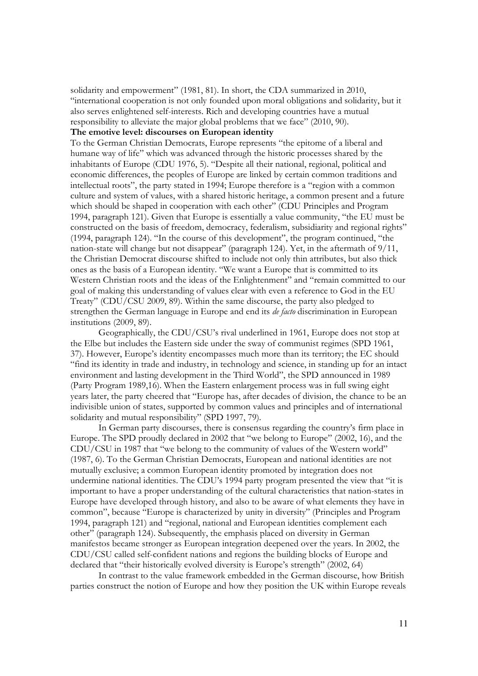solidarity and empowerment" (1981, 81). In short, the CDA summarized in 2010, "international cooperation is not only founded upon moral obligations and solidarity, but it also serves enlightened self-interests. Rich and developing countries have a mutual responsibility to alleviate the major global problems that we face" (2010, 90).

# **The emotive level: discourses on European identity**

To the German Christian Democrats, Europe represents "the epitome of a liberal and humane way of life" which was advanced through the historic processes shared by the inhabitants of Europe (CDU 1976, 5). "Despite all their national, regional, political and economic differences, the peoples of Europe are linked by certain common traditions and intellectual roots", the party stated in 1994; Europe therefore is a "region with a common culture and system of values, with a shared historic heritage, a common present and a future which should be shaped in cooperation with each other" (CDU Principles and Program 1994, paragraph 121). Given that Europe is essentially a value community, "the EU must be constructed on the basis of freedom, democracy, federalism, subsidiarity and regional rights" (1994, paragraph 124). "In the course of this development", the program continued, "the nation-state will change but not disappear" (paragraph 124). Yet, in the aftermath of 9/11, the Christian Democrat discourse shifted to include not only thin attributes, but also thick ones as the basis of a European identity. "We want a Europe that is committed to its Western Christian roots and the ideas of the Enlightenment" and "remain committed to our goal of making this understanding of values clear with even a reference to God in the EU Treaty" (CDU/CSU 2009, 89). Within the same discourse, the party also pledged to strengthen the German language in Europe and end its *de facto* discrimination in European institutions (2009, 89).

Geographically, the CDU/CSU's rival underlined in 1961, Europe does not stop at the Elbe but includes the Eastern side under the sway of communist regimes (SPD 1961, 37). However, Europe's identity encompasses much more than its territory; the EC should "find its identity in trade and industry, in technology and science, in standing up for an intact environment and lasting development in the Third World", the SPD announced in 1989 (Party Program 1989,16). When the Eastern enlargement process was in full swing eight years later, the party cheered that "Europe has, after decades of division, the chance to be an indivisible union of states, supported by common values and principles and of international solidarity and mutual responsibility" (SPD 1997, 79).

In German party discourses, there is consensus regarding the country's firm place in Europe. The SPD proudly declared in 2002 that "we belong to Europe" (2002, 16), and the CDU/CSU in 1987 that "we belong to the community of values of the Western world" (1987, 6). To the German Christian Democrats, European and national identities are not mutually exclusive; a common European identity promoted by integration does not undermine national identities. The CDU's 1994 party program presented the view that "it is important to have a proper understanding of the cultural characteristics that nation-states in Europe have developed through history, and also to be aware of what elements they have in common", because "Europe is characterized by unity in diversity" (Principles and Program 1994, paragraph 121) and "regional, national and European identities complement each other" (paragraph 124). Subsequently, the emphasis placed on diversity in German manifestos became stronger as European integration deepened over the years. In 2002, the CDU/CSU called self-confident nations and regions the building blocks of Europe and declared that "their historically evolved diversity is Europe's strength" (2002, 64)

In contrast to the value framework embedded in the German discourse, how British parties construct the notion of Europe and how they position the UK within Europe reveals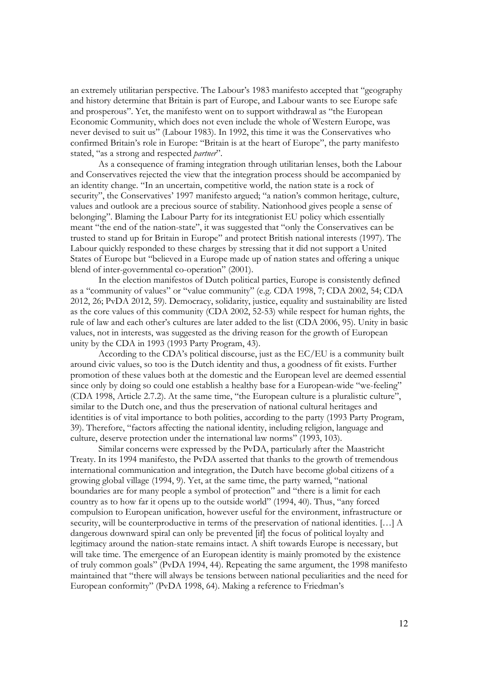an extremely utilitarian perspective. The Labour's 1983 manifesto accepted that "geography and history determine that Britain is part of Europe, and Labour wants to see Europe safe and prosperous". Yet, the manifesto went on to support withdrawal as "the European Economic Community, which does not even include the whole of Western Europe, was never devised to suit us" (Labour 1983). In 1992, this time it was the Conservatives who confirmed Britain's role in Europe: "Britain is at the heart of Europe", the party manifesto stated, "as a strong and respected *partner*".

As a consequence of framing integration through utilitarian lenses, both the Labour and Conservatives rejected the view that the integration process should be accompanied by an identity change. "In an uncertain, competitive world, the nation state is a rock of security", the Conservatives' 1997 manifesto argued; "a nation's common heritage, culture, values and outlook are a precious source of stability. Nationhood gives people a sense of belonging". Blaming the Labour Party for its integrationist EU policy which essentially meant "the end of the nation-state", it was suggested that "only the Conservatives can be trusted to stand up for Britain in Europe" and protect British national interests (1997). The Labour quickly responded to these charges by stressing that it did not support a United States of Europe but "believed in a Europe made up of nation states and offering a unique blend of inter-governmental co-operation" (2001).

In the election manifestos of Dutch political parties, Europe is consistently defined as a "community of values" or "value community" (e.g. CDA 1998, 7; CDA 2002, 54; CDA 2012, 26; PvDA 2012, 59). Democracy, solidarity, justice, equality and sustainability are listed as the core values of this community (CDA 2002, 52-53) while respect for human rights, the rule of law and each other's cultures are later added to the list (CDA 2006, 95). Unity in basic values, not in interests, was suggested as the driving reason for the growth of European unity by the CDA in 1993 (1993 Party Program, 43).

According to the CDA's political discourse, just as the EC/EU is a community built around civic values, so too is the Dutch identity and thus, a goodness of fit exists. Further promotion of these values both at the domestic and the European level are deemed essential since only by doing so could one establish a healthy base for a European-wide "we-feeling" (CDA 1998, Article 2.7.2). At the same time, "the European culture is a pluralistic culture", similar to the Dutch one, and thus the preservation of national cultural heritages and identities is of vital importance to both polities, according to the party (1993 Party Program, 39). Therefore, "factors affecting the national identity, including religion, language and culture, deserve protection under the international law norms" (1993, 103).

Similar concerns were expressed by the PvDA, particularly after the Maastricht Treaty. In its 1994 manifesto, the PvDA asserted that thanks to the growth of tremendous international communication and integration, the Dutch have become global citizens of a growing global village (1994, 9). Yet, at the same time, the party warned, "national boundaries are for many people a symbol of protection" and "there is a limit for each country as to how far it opens up to the outside world" (1994, 40). Thus, "any forced compulsion to European unification, however useful for the environment, infrastructure or security, will be counterproductive in terms of the preservation of national identities. […] A dangerous downward spiral can only be prevented [if] the focus of political loyalty and legitimacy around the nation-state remains intact. A shift towards Europe is necessary, but will take time. The emergence of an European identity is mainly promoted by the existence of truly common goals" (PvDA 1994, 44). Repeating the same argument, the 1998 manifesto maintained that "there will always be tensions between national peculiarities and the need for European conformity" (PvDA 1998, 64). Making a reference to Friedman's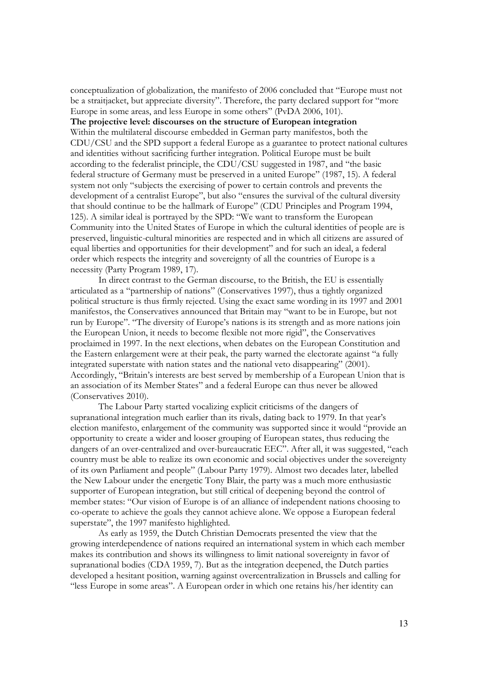conceptualization of globalization, the manifesto of 2006 concluded that "Europe must not be a straitjacket, but appreciate diversity". Therefore, the party declared support for "more Europe in some areas, and less Europe in some others" (PvDA 2006, 101).

**The projective level: discourses on the structure of European integration** Within the multilateral discourse embedded in German party manifestos, both the CDU/CSU and the SPD support a federal Europe as a guarantee to protect national cultures and identities without sacrificing further integration. Political Europe must be built according to the federalist principle, the CDU/CSU suggested in 1987, and "the basic federal structure of Germany must be preserved in a united Europe" (1987, 15). A federal system not only "subjects the exercising of power to certain controls and prevents the development of a centralist Europe", but also "ensures the survival of the cultural diversity that should continue to be the hallmark of Europe" (CDU Principles and Program 1994, 125). A similar ideal is portrayed by the SPD: "We want to transform the European Community into the United States of Europe in which the cultural identities of people are is preserved, linguistic-cultural minorities are respected and in which all citizens are assured of equal liberties and opportunities for their development" and for such an ideal, a federal order which respects the integrity and sovereignty of all the countries of Europe is a necessity (Party Program 1989, 17).

In direct contrast to the German discourse, to the British, the EU is essentially articulated as a "partnership of nations" (Conservatives 1997), thus a tightly organized political structure is thus firmly rejected. Using the exact same wording in its 1997 and 2001 manifestos, the Conservatives announced that Britain may "want to be in Europe, but not run by Europe". "The diversity of Europe's nations is its strength and as more nations join the European Union, it needs to become flexible not more rigid", the Conservatives proclaimed in 1997. In the next elections, when debates on the European Constitution and the Eastern enlargement were at their peak, the party warned the electorate against "a fully integrated superstate with nation states and the national veto disappearing" (2001). Accordingly, "Britain's interests are best served by membership of a European Union that is an association of its Member States" and a federal Europe can thus never be allowed (Conservatives 2010).

The Labour Party started vocalizing explicit criticisms of the dangers of supranational integration much earlier than its rivals, dating back to 1979. In that year's election manifesto, enlargement of the community was supported since it would "provide an opportunity to create a wider and looser grouping of European states, thus reducing the dangers of an over-centralized and over-bureaucratic EEC". After all, it was suggested, "each country must be able to realize its own economic and social objectives under the sovereignty of its own Parliament and people" (Labour Party 1979). Almost two decades later, labelled the New Labour under the energetic Tony Blair, the party was a much more enthusiastic supporter of European integration, but still critical of deepening beyond the control of member states: "Our vision of Europe is of an alliance of independent nations choosing to co-operate to achieve the goals they cannot achieve alone. We oppose a European federal superstate", the 1997 manifesto highlighted.

As early as 1959, the Dutch Christian Democrats presented the view that the growing interdependence of nations required an international system in which each member makes its contribution and shows its willingness to limit national sovereignty in favor of supranational bodies (CDA 1959, 7). But as the integration deepened, the Dutch parties developed a hesitant position, warning against overcentralization in Brussels and calling for "less Europe in some areas". A European order in which one retains his/her identity can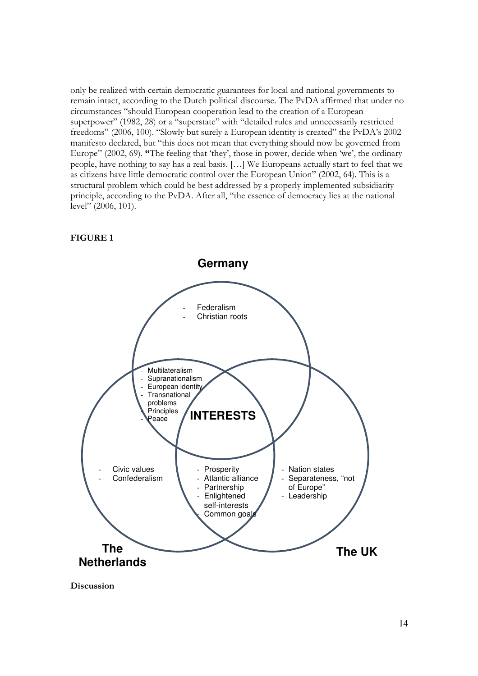only be realized with certain democratic guarantees for local and national governments to remain intact, according to the Dutch political discourse. The PvDA affirmed that under no circumstances "should European cooperation lead to the creation of a European superpower" (1982, 28) or a "superstate" with "detailed rules and unnecessarily restricted freedoms" (2006, 100). "Slowly but surely a European identity is created" the PvDA's 2002 manifesto declared, but "this does not mean that everything should now be governed from Europe" (2002, 69). **"**The feeling that 'they', those in power, decide when 'we', the ordinary people, have nothing to say has a real basis. […] We Europeans actually start to feel that we as citizens have little democratic control over the European Union" (2002, 64). This is a structural problem which could be best addressed by a properly implemented subsidiarity principle, according to the PvDA. After all, "the essence of democracy lies at the national level" (2006, 101).





**Discussion**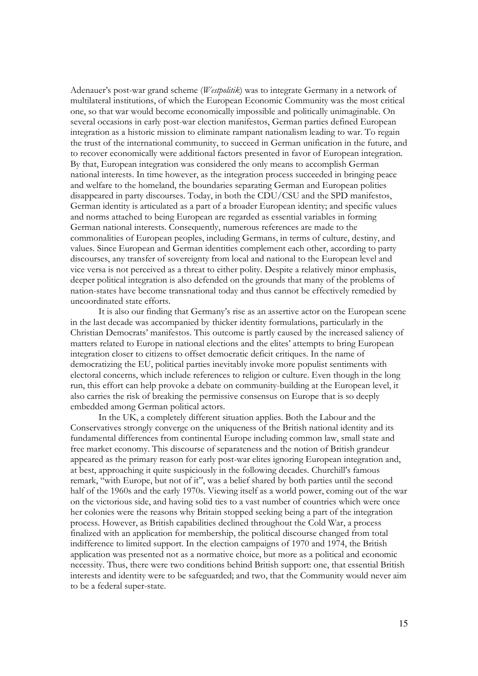Adenauer's post-war grand scheme (*Westpolitik*) was to integrate Germany in a network of multilateral institutions, of which the European Economic Community was the most critical one, so that war would become economically impossible and politically unimaginable. On several occasions in early post-war election manifestos, German parties defined European integration as a historic mission to eliminate rampant nationalism leading to war. To regain the trust of the international community, to succeed in German unification in the future, and to recover economically were additional factors presented in favor of European integration. By that, European integration was considered the only means to accomplish German national interests. In time however, as the integration process succeeded in bringing peace and welfare to the homeland, the boundaries separating German and European polities disappeared in party discourses. Today, in both the CDU/CSU and the SPD manifestos, German identity is articulated as a part of a broader European identity; and specific values and norms attached to being European are regarded as essential variables in forming German national interests. Consequently, numerous references are made to the commonalities of European peoples, including Germans, in terms of culture, destiny, and values. Since European and German identities complement each other, according to party discourses, any transfer of sovereignty from local and national to the European level and vice versa is not perceived as a threat to either polity. Despite a relatively minor emphasis, deeper political integration is also defended on the grounds that many of the problems of nation-states have become transnational today and thus cannot be effectively remedied by uncoordinated state efforts.

It is also our finding that Germany's rise as an assertive actor on the European scene in the last decade was accompanied by thicker identity formulations, particularly in the Christian Democrats' manifestos. This outcome is partly caused by the increased saliency of matters related to Europe in national elections and the elites' attempts to bring European integration closer to citizens to offset democratic deficit critiques. In the name of democratizing the EU, political parties inevitably invoke more populist sentiments with electoral concerns, which include references to religion or culture. Even though in the long run, this effort can help provoke a debate on community-building at the European level, it also carries the risk of breaking the permissive consensus on Europe that is so deeply embedded among German political actors.

In the UK, a completely different situation applies. Both the Labour and the Conservatives strongly converge on the uniqueness of the British national identity and its fundamental differences from continental Europe including common law, small state and free market economy. This discourse of separateness and the notion of British grandeur appeared as the primary reason for early post-war elites ignoring European integration and, at best, approaching it quite suspiciously in the following decades. Churchill's famous remark, "with Europe, but not of it", was a belief shared by both parties until the second half of the 1960s and the early 1970s. Viewing itself as a world power, coming out of the war on the victorious side, and having solid ties to a vast number of countries which were once her colonies were the reasons why Britain stopped seeking being a part of the integration process. However, as British capabilities declined throughout the Cold War, a process finalized with an application for membership, the political discourse changed from total indifference to limited support. In the election campaigns of 1970 and 1974, the British application was presented not as a normative choice, but more as a political and economic necessity. Thus, there were two conditions behind British support: one, that essential British interests and identity were to be safeguarded; and two, that the Community would never aim to be a federal super-state.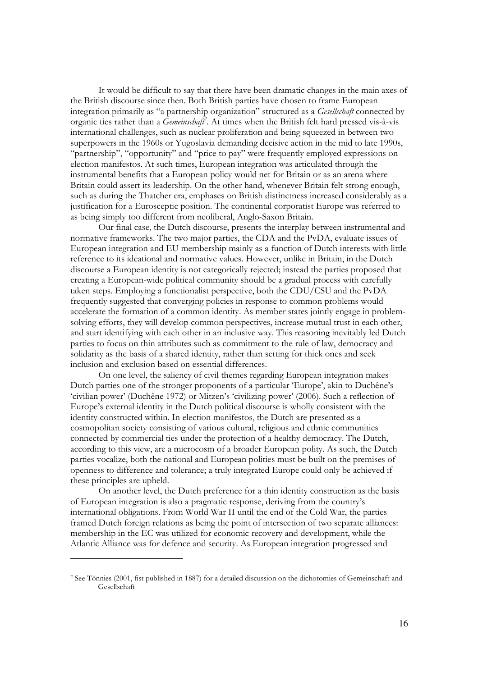It would be difficult to say that there have been dramatic changes in the main axes of the British discourse since then. Both British parties have chosen to frame European integration primarily as "a partnership organization" structured as a *Gesellschaft* connected by organic ties rather than a *Gemeinschaft<sup>2</sup>* . At times when the British felt hard pressed vis-à-vis international challenges, such as nuclear proliferation and being squeezed in between two superpowers in the 1960s or Yugoslavia demanding decisive action in the mid to late 1990s, "partnership", "opportunity" and "price to pay" were frequently employed expressions on election manifestos. At such times, European integration was articulated through the instrumental benefits that a European policy would net for Britain or as an arena where Britain could assert its leadership. On the other hand, whenever Britain felt strong enough, such as during the Thatcher era, emphases on British distinctness increased considerably as a justification for a Eurosceptic position. The continental corporatist Europe was referred to as being simply too different from neoliberal, Anglo-Saxon Britain.

Our final case, the Dutch discourse, presents the interplay between instrumental and normative frameworks. The two major parties, the CDA and the PvDA, evaluate issues of European integration and EU membership mainly as a function of Dutch interests with little reference to its ideational and normative values. However, unlike in Britain, in the Dutch discourse a European identity is not categorically rejected; instead the parties proposed that creating a European-wide political community should be a gradual process with carefully taken steps. Employing a functionalist perspective, both the CDU/CSU and the PvDA frequently suggested that converging policies in response to common problems would accelerate the formation of a common identity. As member states jointly engage in problemsolving efforts, they will develop common perspectives, increase mutual trust in each other, and start identifying with each other in an inclusive way. This reasoning inevitably led Dutch parties to focus on thin attributes such as commitment to the rule of law, democracy and solidarity as the basis of a shared identity, rather than setting for thick ones and seek inclusion and exclusion based on essential differences.

On one level, the saliency of civil themes regarding European integration makes Dutch parties one of the stronger proponents of a particular 'Europe', akin to Duchêne's 'civilian power' (Duchêne 1972) or Mitzen's 'civilizing power' (2006). Such a reflection of Europe's external identity in the Dutch political discourse is wholly consistent with the identity constructed within. In election manifestos, the Dutch are presented as a cosmopolitan society consisting of various cultural, religious and ethnic communities connected by commercial ties under the protection of a healthy democracy. The Dutch, according to this view, are a microcosm of a broader European polity. As such, the Dutch parties vocalize, both the national and European polities must be built on the premises of openness to difference and tolerance; a truly integrated Europe could only be achieved if these principles are upheld.

On another level, the Dutch preference for a thin identity construction as the basis of European integration is also a pragmatic response, deriving from the country's international obligations. From World War II until the end of the Cold War, the parties framed Dutch foreign relations as being the point of intersection of two separate alliances: membership in the EC was utilized for economic recovery and development, while the Atlantic Alliance was for defence and security. As European integration progressed and

-

<sup>2</sup> See Tönnies (2001, fist published in 1887) for a detailed discussion on the dichotomies of Gemeinschaft and Gesellschaft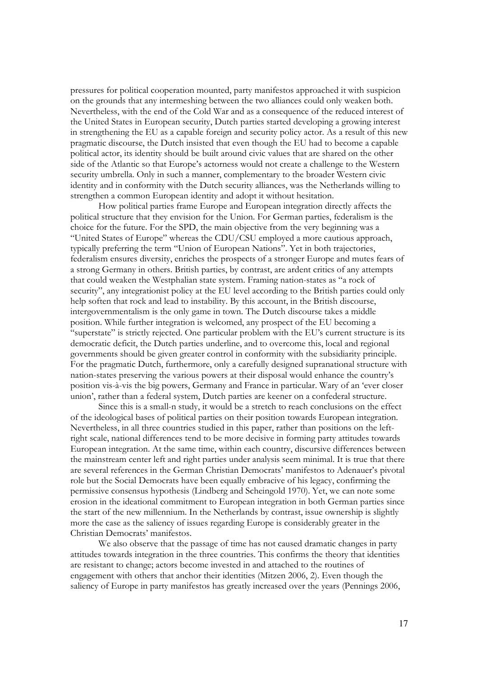pressures for political cooperation mounted, party manifestos approached it with suspicion on the grounds that any intermeshing between the two alliances could only weaken both. Nevertheless, with the end of the Cold War and as a consequence of the reduced interest of the United States in European security, Dutch parties started developing a growing interest in strengthening the EU as a capable foreign and security policy actor. As a result of this new pragmatic discourse, the Dutch insisted that even though the EU had to become a capable political actor, its identity should be built around civic values that are shared on the other side of the Atlantic so that Europe's actorness would not create a challenge to the Western security umbrella. Only in such a manner, complementary to the broader Western civic identity and in conformity with the Dutch security alliances, was the Netherlands willing to strengthen a common European identity and adopt it without hesitation.

How political parties frame Europe and European integration directly affects the political structure that they envision for the Union. For German parties, federalism is the choice for the future. For the SPD, the main objective from the very beginning was a "United States of Europe" whereas the CDU/CSU employed a more cautious approach, typically preferring the term "Union of European Nations". Yet in both trajectories, federalism ensures diversity, enriches the prospects of a stronger Europe and mutes fears of a strong Germany in others. British parties, by contrast, are ardent critics of any attempts that could weaken the Westphalian state system. Framing nation-states as "a rock of security", any integrationist policy at the EU level according to the British parties could only help soften that rock and lead to instability. By this account, in the British discourse, intergovernmentalism is the only game in town. The Dutch discourse takes a middle position. While further integration is welcomed, any prospect of the EU becoming a "superstate" is strictly rejected. One particular problem with the EU's current structure is its democratic deficit, the Dutch parties underline, and to overcome this, local and regional governments should be given greater control in conformity with the subsidiarity principle. For the pragmatic Dutch, furthermore, only a carefully designed supranational structure with nation-states preserving the various powers at their disposal would enhance the country's position vis-à-vis the big powers, Germany and France in particular. Wary of an 'ever closer union', rather than a federal system, Dutch parties are keener on a confederal structure.

Since this is a small-n study, it would be a stretch to reach conclusions on the effect of the ideological bases of political parties on their position towards European integration. Nevertheless, in all three countries studied in this paper, rather than positions on the leftright scale, national differences tend to be more decisive in forming party attitudes towards European integration. At the same time, within each country, discursive differences between the mainstream center left and right parties under analysis seem minimal. It is true that there are several references in the German Christian Democrats' manifestos to Adenauer's pivotal role but the Social Democrats have been equally embracive of his legacy, confirming the permissive consensus hypothesis (Lindberg and Scheingold 1970). Yet, we can note some erosion in the ideational commitment to European integration in both German parties since the start of the new millennium. In the Netherlands by contrast, issue ownership is slightly more the case as the saliency of issues regarding Europe is considerably greater in the Christian Democrats' manifestos.

We also observe that the passage of time has not caused dramatic changes in party attitudes towards integration in the three countries. This confirms the theory that identities are resistant to change; actors become invested in and attached to the routines of engagement with others that anchor their identities (Mitzen 2006, 2). Even though the saliency of Europe in party manifestos has greatly increased over the years (Pennings 2006,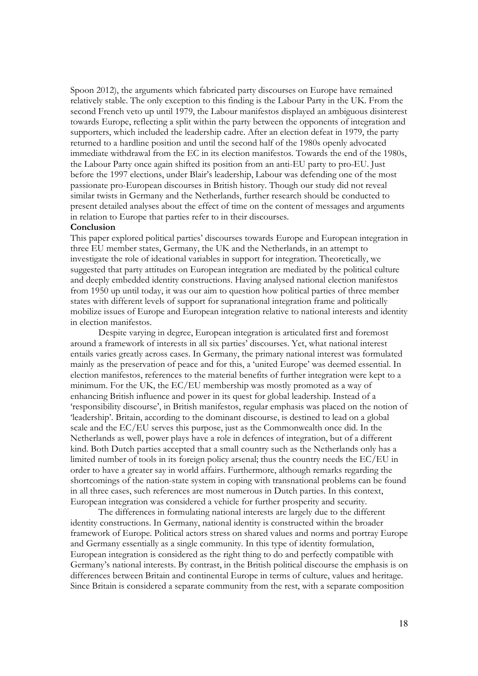Spoon 2012), the arguments which fabricated party discourses on Europe have remained relatively stable. The only exception to this finding is the Labour Party in the UK. From the second French veto up until 1979, the Labour manifestos displayed an ambiguous disinterest towards Europe, reflecting a split within the party between the opponents of integration and supporters, which included the leadership cadre. After an election defeat in 1979, the party returned to a hardline position and until the second half of the 1980s openly advocated immediate withdrawal from the EC in its election manifestos. Towards the end of the 1980s, the Labour Party once again shifted its position from an anti-EU party to pro-EU. Just before the 1997 elections, under Blair's leadership, Labour was defending one of the most passionate pro-European discourses in British history. Though our study did not reveal similar twists in Germany and the Netherlands, further research should be conducted to present detailed analyses about the effect of time on the content of messages and arguments in relation to Europe that parties refer to in their discourses.

### **Conclusion**

This paper explored political parties' discourses towards Europe and European integration in three EU member states, Germany, the UK and the Netherlands, in an attempt to investigate the role of ideational variables in support for integration. Theoretically, we suggested that party attitudes on European integration are mediated by the political culture and deeply embedded identity constructions. Having analysed national election manifestos from 1950 up until today, it was our aim to question how political parties of three member states with different levels of support for supranational integration frame and politically mobilize issues of Europe and European integration relative to national interests and identity in election manifestos.

Despite varying in degree, European integration is articulated first and foremost around a framework of interests in all six parties' discourses. Yet, what national interest entails varies greatly across cases. In Germany, the primary national interest was formulated mainly as the preservation of peace and for this, a 'united Europe' was deemed essential. In election manifestos, references to the material benefits of further integration were kept to a minimum. For the UK, the EC/EU membership was mostly promoted as a way of enhancing British influence and power in its quest for global leadership. Instead of a 'responsibility discourse', in British manifestos, regular emphasis was placed on the notion of 'leadership'. Britain, according to the dominant discourse, is destined to lead on a global scale and the EC/EU serves this purpose, just as the Commonwealth once did. In the Netherlands as well, power plays have a role in defences of integration, but of a different kind. Both Dutch parties accepted that a small country such as the Netherlands only has a limited number of tools in its foreign policy arsenal; thus the country needs the EC/EU in order to have a greater say in world affairs. Furthermore, although remarks regarding the shortcomings of the nation-state system in coping with transnational problems can be found in all three cases, such references are most numerous in Dutch parties. In this context, European integration was considered a vehicle for further prosperity and security.

The differences in formulating national interests are largely due to the different identity constructions. In Germany, national identity is constructed within the broader framework of Europe. Political actors stress on shared values and norms and portray Europe and Germany essentially as a single community. In this type of identity formulation, European integration is considered as the right thing to do and perfectly compatible with Germany's national interests. By contrast, in the British political discourse the emphasis is on differences between Britain and continental Europe in terms of culture, values and heritage. Since Britain is considered a separate community from the rest, with a separate composition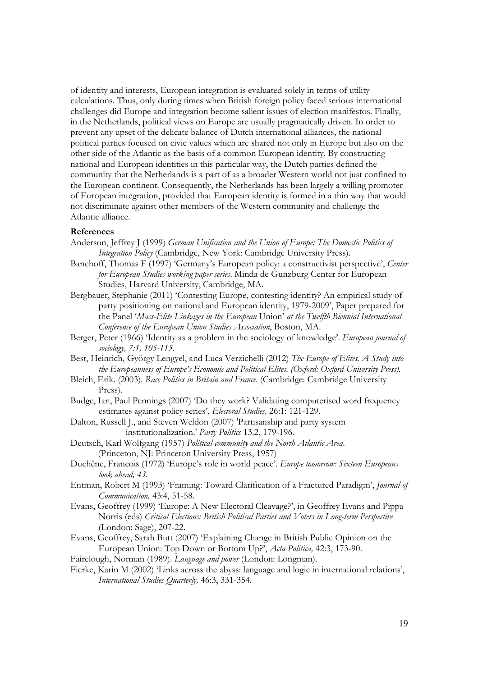of identity and interests, European integration is evaluated solely in terms of utility calculations. Thus, only during times when British foreign policy faced serious international challenges did Europe and integration become salient issues of election manifestos. Finally, in the Netherlands, political views on Europe are usually pragmatically driven. In order to prevent any upset of the delicate balance of Dutch international alliances, the national political parties focused on civic values which are shared not only in Europe but also on the other side of the Atlantic as the basis of a common European identity. By constructing national and European identities in this particular way, the Dutch parties defined the community that the Netherlands is a part of as a broader Western world not just confined to the European continent. Consequently, the Netherlands has been largely a willing promoter of European integration, provided that European identity is formed in a thin way that would not discriminate against other members of the Western community and challenge the Atlantic alliance.

### **References**

- Anderson, Jeffrey J (1999) *German Unification and the Union of Europe: The Domestic Politics of Integration Policy* (Cambridge, New York: Cambridge University Press).
- Banchoff, Thomas F (1997) 'Germany's European policy: a constructivist perspective', *Center for European Studies working paper series*. Minda de Gunzburg Center for European Studies, Harvard University, Cambridge, MA.
- Bergbauer, Stephanie (2011) 'Contesting Europe, contesting identity? An empirical study of party positioning on national and European identity, 1979-2009', Paper prepared for the Panel '*Mass-Elite Linkages in the European* Union' *at the Twelfth Biennial International Conference of the European Union Studies Association*, Boston, MA.
- Berger, Peter (1966) 'Identity as a problem in the sociology of knowledge'. *European journal of sociology, 7:1, 105-115.*
- Best, Heinrich, György Lengyel, and Luca Verzichelli (2012) *The Europe of Elites. A Study into the Europeanness of Europe's Economic and Political Elites. (Oxford: Oxford University Press).*
- Bleich, Erik. (2003). *Race Politics in Britain and France*. (Cambridge: Cambridge University Press).
- Budge, Ian, Paul Pennings (2007) 'Do they work? Validating computerised word frequency estimates against policy series', *Electoral Studies,* 26:1: 121-129.
- Dalton, Russell J., and Steven Weldon (2007) 'Partisanship and party system institutionalization.' *Party Politics* 13.2, 179-196.
- Deutsch, Karl Wolfgang (1957) *Political community and the North Atlantic Area*. (Princeton, NJ: Princeton University Press, 1957)
- Duchêne, Francois (1972) 'Europe's role in world peace'. *Europe tomorrow: Sixteen Europeans look ahead, 43.*
- Entman, Robert M (1993) 'Framing: Toward Clarification of a Fractured Paradigm', *Journal of Communication,* 43:4, 51-58.
- Evans, Geoffrey (1999) 'Europe: A New Electoral Cleavage?', in Geoffrey Evans and Pippa Norris (eds) *Critical Elections: British Political Parties and Voters in Long-term Perspective* (London: Sage), 207-22.
- Evans, Geoffrey, Sarah Butt (2007) 'Explaining Change in British Public Opinion on the European Union: Top Down or Bottom Up?', *Acta Politica,* 42:3, 173-90.
- Fairclough, Norman (1989). *Language and power* (London: Longman).
- Fierke, Karin M (2002) 'Links across the abyss: language and logic in international relations', *International Studies Quarterly,* 46:3, 331-354.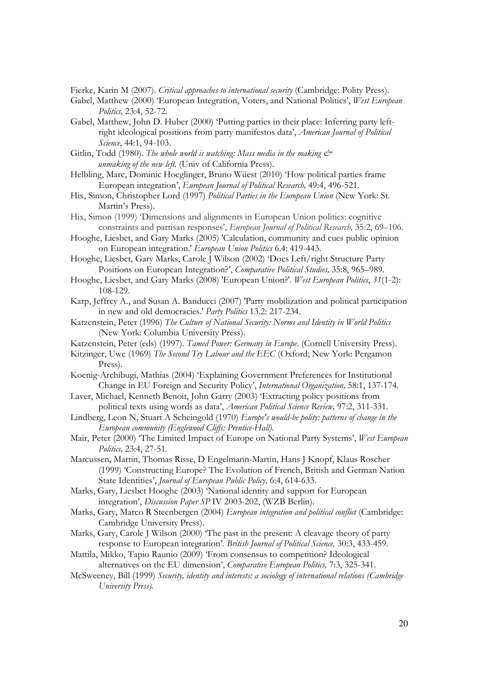Fierke, Karin M (2007). *Critical approaches to international security* (Cambridge: Polity Press).

- Gabel, Matthew (2000) 'European Integration, Voters, and National Politics', *West European Politics,* 23:4, 52-72.
- Gabel, Matthew, John D. Huber (2000) 'Putting parties in their place: Inferring party leftright ideological positions from party manifestos data', *American Journal of Political Science*, 44:1, 94-103.
- Gitlin, Todd (1980). *The whole world is watching: Mass media in the making*  $\breve{\mathcal{O}}$  *unmaking of the new left*. (Univ of California Press).
- Helbling, Marc, Dominic Hoeglinger, Bruno Wüest (2010) 'How political parties frame European integration', *European Journal of Political Research,* 49:4, 496-521.
- Hix, Simon, Christopher Lord (1997) *Political Parties in the European Union* (New York: St. Martin's Press).
- Hix, Simon (1999) 'Dimensions and alignments in European Union politics: cognitive constraints and partisan responses', *European Journal of Political Research,* 35:2, 69–106.
- Hooghe, Liesbet, and Gary Marks (2005) 'Calculation, community and cues public opinion on European integration.' *European Union Politics* 6.4: 419-443.
- Hooghe, Liesbet, Gary Marks, Carole J Wilson (2002) 'Does Left/right Structure Party Positions on European Integration?', *Comparative Political Studies,* 35:8, 965–989.
- Hooghe, Liesbet, and Gary Marks (2008) 'European Union?'. *West European Politics*, *31*(1-2): 108-129.
- Karp, Jeffrey A., and Susan A. Banducci (2007) 'Party mobilization and political participation in new and old democracies.' *Party Politics* 13.2: 217-234.
- Katzenstein, Peter (1996) *The Culture of National Security: Norms and Identity in World Politics* (New York: Columbia University Press).
- Katzenstein, Peter (eds) (1997). *Tamed Power: Germany in Europe*. (Cornell University Press).
- Kitzinger, Uwe (1969) *The Second Try Labour and the EEC* (Oxford; New York: Pergamon Press).
- Koenig-Archibugi, Mathias (2004) 'Explaining Government Preferences for Institutional Change in EU Foreign and Security Policy', *International Organization,* 58:1, 137-174.
- Laver, Michael, Kenneth Benoit, John Garry (2003) 'Extracting policy positions from political texts using words as data', *American Political Science Review,* 97:2, 311-331.
- Lindberg, Leon N, Stuart A Scheingold (1970) *Europe's would-be polity: patterns of change in the European community (Englewood Cliffs: Prentice-Hall).*
- Mair, Peter (2000) 'The Limited Impact of Europe on National Party Systems', *West European Politics,* 23:4, 27-51.
- Marcussen, Martin, Thomas Risse, D Engelmann-Martin, Hans J Knopf, Klaus Roscher (1999) 'Constructing Europe? The Evolution of French, British and German Nation State Identities', *Journal of European Public Policy,* 6:4, 614-633.
- Marks, Gary, Liesbet Hooghe (2003) 'National identity and support for European integration', *Discussion Paper SP* IV 2003-202, (WZB Berlin).
- Marks, Gary, Marco R Steenbergen (2004) *European integration and political conflict* (Cambridge: Cambridge University Press).
- Marks, Gary, Carole J Wilson (2000) 'The past in the present: A cleavage theory of party response to European integration'. *British Journal of Political Science,* 30:3, 433-459.
- Mattila, Mikko, Tapio Raunio (2009) 'From consensus to competition? Ideological alternatives on the EU dimension', *Comparative European Politics,* 7:3, 325-341.
- McSweeney, Bill (1999) *Security, identity and interests: a sociology of international relations (Cambridge University Press).*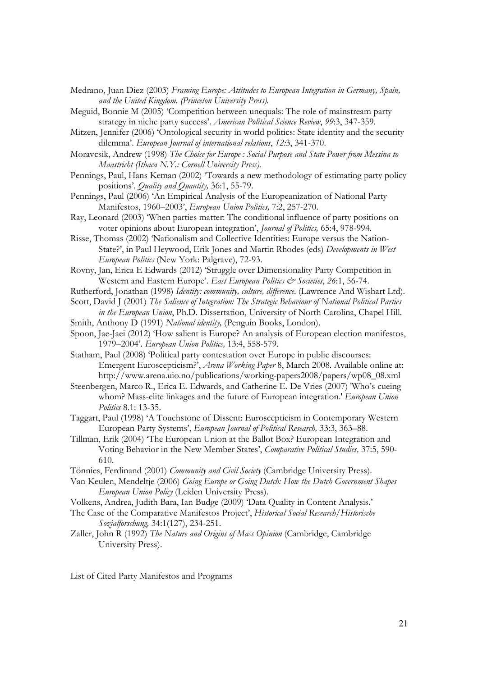- Medrano, Juan Diez (2003) *Framing Europe: Attitudes to European Integration in Germany, Spain, and the United Kingdom. (Princeton University Press).*
- Meguid, Bonnie M (2005) 'Competition between unequals: The role of mainstream party strategy in niche party success'. *American Political Science Review*, *99*:3, 347-359.
- Mitzen, Jennifer (2006) 'Ontological security in world politics: State identity and the security dilemma'. *European Journal of international relations*, *12:*3, 341-370.
- Moravcsik, Andrew (1998) *The Choice for Europe : Social Purpose and State Power from Messina to Maastricht (Ithaca N.Y.: Cornell University Press).*
- Pennings, Paul, Hans Keman (2002) 'Towards a new methodology of estimating party policy positions'. *Quality and Quantity,* 36:1, 55-79.
- Pennings, Paul (2006) 'An Empirical Analysis of the Europeanization of National Party Manifestos, 1960–2003', *European Union Politics,* 7:2, 257-270.
- Ray, Leonard (2003) 'When parties matter: The conditional influence of party positions on voter opinions about European integration', *Journal of Politics,* 65:4, 978-994.
- Risse, Thomas (2002) 'Nationalism and Collective Identities: Europe versus the Nation-State?', in Paul Heywood, Erik Jones and Martin Rhodes (eds) *Developments in West European Politics* (New York: Palgrave), 72-93.
- Rovny, Jan, Erica E Edwards (2012) 'Struggle over Dimensionality Party Competition in Western and Eastern Europe'. *East European Politics & Societies*, *26*:1, 56-74.
- Rutherford, Jonathan (1998) *Identity: community, culture, difference*. (Lawrence And Wishart Ltd).
- Scott, David J (2001) *The Salience of Integration: The Strategic Behaviour of National Political Parties in the European Union*, Ph.D. Dissertation, University of North Carolina, Chapel Hill.
- Smith, Anthony D (1991) *National identity,* (Penguin Books, London).
- Spoon, Jae-Jaei (2012) 'How salient is Europe? An analysis of European election manifestos, 1979–2004'. *European Union Politics,* 13:4, 558-579.
- Statham, Paul (2008) 'Political party contestation over Europe in public discourses: Emergent Euroscepticism?', *Arena Working Paper* 8, March 2008. Available online at: http://www.arena.uio.no/publications/working-papers2008/papers/wp08\_08.xml
- Steenbergen, Marco R., Erica E. Edwards, and Catherine E. De Vries (2007) 'Who's cueing whom? Mass-elite linkages and the future of European integration.' *European Union Politics* 8.1: 13-35.
- Taggart, Paul (1998) 'A Touchstone of Dissent: Euroscepticism in Contemporary Western European Party Systems', *European Journal of Political Research,* 33:3, 363–88.
- Tillman, Erik (2004) 'The European Union at the Ballot Box? European Integration and Voting Behavior in the New Member States', *Comparative Political Studies,* 37:5, 590- 610.
- Tönnies, Ferdinand (2001) *Community and Civil Society* (Cambridge University Press).
- Van Keulen, Mendeltje (2006) *Going Europe or Going Dutch: How the Dutch Government Shapes European Union Policy* (Leiden University Press).
- Volkens, Andrea, Judith Bara, Ian Budge (2009) 'Data Quality in Content Analysis.'
- The Case of the Comparative Manifestos Project', *Historical Social Research/Historische Sozialforschung,* 34:1(127), 234-251.
- Zaller, John R (1992) *The Nature and Origins of Mass Opinion* (Cambridge, Cambridge University Press).

List of Cited Party Manifestos and Programs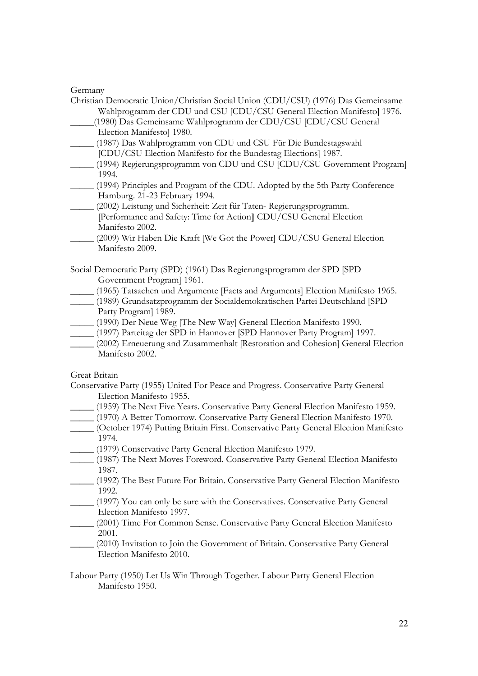### Germany

| Christian Democratic Union/Christian Social Union (CDU/CSU) (1976) Das Gemeinsame |
|-----------------------------------------------------------------------------------|
| Wahlprogramm der CDU und CSU [CDU/CSU General Election Manifesto] 1976.           |
| (1980) Das Gemeinsame Wahlprogramm der CDU/CSU [CDU/CSU General                   |
| Election Manifestol 1980.                                                         |
| (1987) Das Wahlprogramm von CDU und CSU Für Die Bundestagswahl                    |
| [CDU/CSU Election Manifesto for the Bundestag Elections] 1987.                    |
| (1994) Regierungsprogramm von CDU und CSU [CDU/CSU Government Program]            |
| 1994.                                                                             |
| (1994) Principles and Program of the CDU. Adopted by the 5th Party Conference     |
| Hamburg. 21-23 February 1994.                                                     |
| (2002) Leistung und Sicherheit: Zeit für Taten- Regierungsprogramm.               |
| [Performance and Safety: Time for Action] CDU/CSU General Election                |
| Manifesto 2002.                                                                   |
| (2009) Wir Haben Die Kraft [We Got the Power] CDU/CSU General Election            |
| Manifesto 2009.                                                                   |
| Social Democratic Party (SPD) (1961) Das Regierungsprogramm der SPD [SPD          |
| Government Program] 1961.                                                         |
| (1965) Tatsachen und Argumente [Facts and Arguments] Election Manifesto 1965.     |
| (1989) Grundsatzprogramm der Socialdemokratischen Partei Deutschland [SPD         |

- Party Program] 1989.
- \_\_\_\_\_ (1990) Der Neue Weg [The New Way] General Election Manifesto 1990.
- \_\_\_\_\_ (1997) Parteitag der SPD in Hannover [SPD Hannover Party Program] 1997.
- \_\_\_\_\_ (2002) Erneuerung and Zusammenhalt [Restoration and Cohesion] General Election Manifesto 2002.

Great Britain

- Conservative Party (1955) United For Peace and Progress. Conservative Party General Election Manifesto 1955.
- \_\_\_\_\_ (1959) The Next Five Years. Conservative Party General Election Manifesto 1959.
- \_\_\_\_\_ (1970) A Better Tomorrow. Conservative Party General Election Manifesto 1970.
- \_\_\_\_\_ (October 1974) Putting Britain First. Conservative Party General Election Manifesto 1974.
- \_\_\_\_\_ (1979) Conservative Party General Election Manifesto 1979.
- \_\_\_\_\_ (1987) The Next Moves Foreword. Conservative Party General Election Manifesto 1987.
- \_\_\_\_\_ (1992) The Best Future For Britain. Conservative Party General Election Manifesto 1992.
- \_\_\_\_\_ (1997) You can only be sure with the Conservatives. Conservative Party General Election Manifesto 1997.
- \_\_\_\_\_ (2001) Time For Common Sense. Conservative Party General Election Manifesto 2001.
- \_\_\_\_\_ (2010) Invitation to Join the Government of Britain. Conservative Party General Election Manifesto 2010.
- Labour Party (1950) Let Us Win Through Together. Labour Party General Election Manifesto 1950.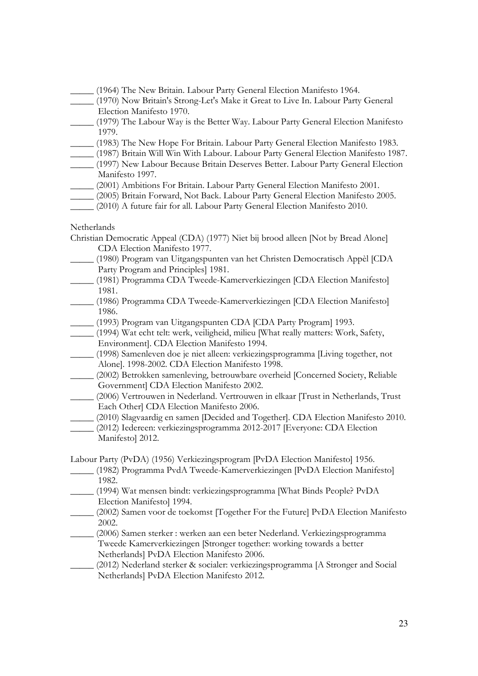- \_\_\_\_\_ (1964) The New Britain. Labour Party General Election Manifesto 1964.
- \_\_\_\_\_ (1970) Now Britain's Strong-Let's Make it Great to Live In. Labour Party General Election Manifesto 1970.
- \_\_\_\_\_ (1979) The Labour Way is the Better Way. Labour Party General Election Manifesto 1979.
- \_\_\_\_\_ (1983) The New Hope For Britain. Labour Party General Election Manifesto 1983.
- \_\_\_\_\_ (1987) Britain Will Win With Labour. Labour Party General Election Manifesto 1987.
- \_\_\_\_\_ (1997) New Labour Because Britain Deserves Better. Labour Party General Election Manifesto 1997.
- \_\_\_\_\_ (2001) Ambitions For Britain. Labour Party General Election Manifesto 2001.
- \_\_\_\_\_ (2005) Britain Forward, Not Back. Labour Party General Election Manifesto 2005.
- (2010) A future fair for all. Labour Party General Election Manifesto 2010.

### **Netherlands**

Christian Democratic Appeal (CDA) (1977) Niet bij brood alleen [Not by Bread Alone] CDA Election Manifesto 1977.

- \_\_\_\_\_ (1980) Program van Uitgangspunten van het Christen Democratisch Appèl [CDA Party Program and Principles] 1981.
- \_\_\_\_\_ (1981) Programma CDA Tweede-Kamerverkiezingen [CDA Election Manifesto] 1981.
- \_\_\_\_\_ (1986) Programma CDA Tweede-Kamerverkiezingen [CDA Election Manifesto] 1986.
- \_\_\_\_\_ (1993) Program van Uitgangspunten CDA [CDA Party Program] 1993.
- \_\_\_\_\_ (1994) Wat echt telt: werk, veiligheid, milieu [What really matters: Work, Safety, Environment]. CDA Election Manifesto 1994.
- \_\_\_\_\_ (1998) Samenleven doe je niet alleen: verkiezingsprogramma [Living together, not Alone]. 1998-2002. CDA Election Manifesto 1998.
- (2002) Betrokken samenleving, betrouwbare overheid [Concerned Society, Reliable Government] CDA Election Manifesto 2002.
- \_\_\_\_\_ (2006) Vertrouwen in Nederland. Vertrouwen in elkaar [Trust in Netherlands, Trust Each Other] CDA Election Manifesto 2006.
- \_\_\_\_\_ (2010) Slagvaardig en samen [Decided and Together]. CDA Election Manifesto 2010.
- \_\_\_\_\_ (2012) Iedereen: verkiezingsprogramma 2012-2017 [Everyone: CDA Election Manifesto] 2012.

Labour Party (PvDA) (1956) Verkiezingsprogram [PvDA Election Manifesto] 1956.

- \_\_\_\_\_ (1982) Programma PvdA Tweede-Kamerverkiezingen [PvDA Election Manifesto] 1982.
- \_\_\_\_\_ (1994) Wat mensen bindt: verkiezingsprogramma [What Binds People? PvDA Election Manifesto] 1994.
- \_\_\_\_\_ (2002) Samen voor de toekomst [Together For the Future] PvDA Election Manifesto 2002.
- \_\_\_\_\_ (2006) Samen sterker : werken aan een beter Nederland. Verkiezingsprogramma Tweede Kamerverkiezingen [Stronger together: working towards a better Netherlands] PvDA Election Manifesto 2006.
- \_\_\_\_\_ (2012) Nederland sterker & socialer: verkiezingsprogramma [A Stronger and Social Netherlands] PvDA Election Manifesto 2012.